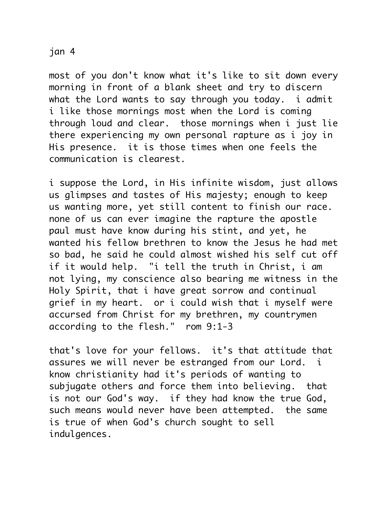## jan 4

most of you don't know what it's like to sit down every morning in front of a blank sheet and try to discern what the Lord wants to say through you today. i admit i like those mornings most when the Lord is coming through loud and clear. those mornings when i just lie there experiencing my own personal rapture as i joy in His presence. it is those times when one feels the communication is clearest.

i suppose the Lord, in His infinite wisdom, just allows us glimpses and tastes of His majesty; enough to keep us wanting more, yet still content to finish our race. none of us can ever imagine the rapture the apostle paul must have know during his stint, and yet, he wanted his fellow brethren to know the Jesus he had met so bad, he said he could almost wished his self cut off if it would help. "i tell the truth in Christ, i am not lying, my conscience also bearing me witness in the Holy Spirit, that i have great sorrow and continual grief in my heart. or i could wish that i myself were accursed from Christ for my brethren, my countrymen according to the flesh." rom 9:1-3

that's love for your fellows. it's that attitude that assures we will never be estranged from our Lord. i know christianity had it's periods of wanting to subjugate others and force them into believing. that is not our God's way. if they had know the true God, such means would never have been attempted. the same is true of when God's church sought to sell indulgences.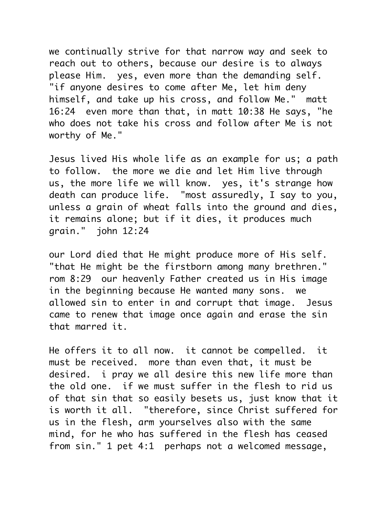we continually strive for that narrow way and seek to reach out to others, because our desire is to always please Him. yes, even more than the demanding self. "if anyone desires to come after Me, let him deny himself, and take up his cross, and follow Me." matt 16:24 even more than that, in matt 10:38 He says, "he who does not take his cross and follow after Me is not worthy of Me."

Jesus lived His whole life as an example for us; a path to follow. the more we die and let Him live through us, the more life we will know. yes, it's strange how death can produce life. "most assuredly, I say to you, unless a grain of wheat falls into the ground and dies, it remains alone; but if it dies, it produces much grain." john 12:24

our Lord died that He might produce more of His self. "that He might be the firstborn among many brethren." rom 8:29 our heavenly Father created us in His image in the beginning because He wanted many sons. we allowed sin to enter in and corrupt that image. Jesus came to renew that image once again and erase the sin that marred it.

He offers it to all now. it cannot be compelled. it must be received. more than even that, it must be desired. i pray we all desire this new life more than the old one. if we must suffer in the flesh to rid us of that sin that so easily besets us, just know that it is worth it all. "therefore, since Christ suffered for us in the flesh, arm yourselves also with the same mind, for he who has suffered in the flesh has ceased from sin." 1 pet 4:1 perhaps not a welcomed message,